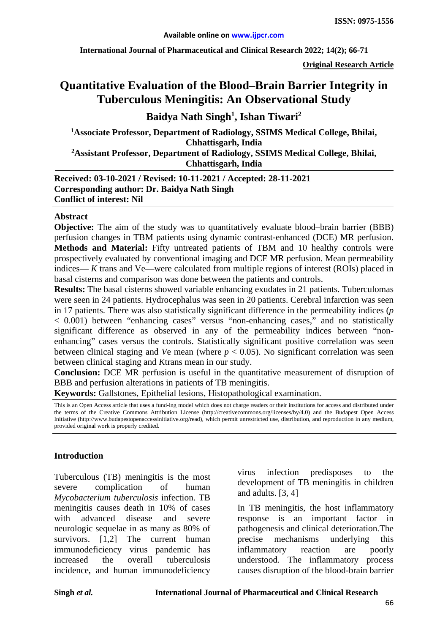**International Journal of Pharmaceutical and Clinical Research 2022; 14(2); 66-71**

**Original Research Article**

# **Quantitative Evaluation of the Blood–Brain Barrier Integrity in Tuberculous Meningitis: An Observational Study**

# **Baidya Nath Singh1 , Ishan Tiwari2**

**1Associate Professor, Department of Radiology, SSIMS Medical College, Bhilai, Chhattisgarh, India 2 Assistant Professor, Department of Radiology, SSIMS Medical College, Bhilai, Chhattisgarh, India**

**Received: 03-10-2021 / Revised: 10-11-2021 / Accepted: 28-11-2021 Corresponding author: Dr. Baidya Nath Singh Conflict of interest: Nil**

#### **Abstract**

**Objective:** The aim of the study was to quantitatively evaluate blood–brain barrier (BBB) perfusion changes in TBM patients using dynamic contrast-enhanced (DCE) MR perfusion. **Methods and Material:** Fifty untreated patients of TBM and 10 healthy controls were prospectively evaluated by conventional imaging and DCE MR perfusion. Mean permeability indices— *K* trans and Ve—were calculated from multiple regions of interest (ROIs) placed in basal cisterns and comparison was done between the patients and controls.

**Results:** The basal cisterns showed variable enhancing exudates in 21 patients. Tuberculomas were seen in 24 patients. Hydrocephalus was seen in 20 patients. Cerebral infarction was seen in 17 patients. There was also statistically significant difference in the permeability indices (*p*  < 0.001) between "enhancing cases" versus "non-enhancing cases," and no statistically significant difference as observed in any of the permeability indices between "nonenhancing" cases versus the controls. Statistically significant positive correlation was seen between clinical staging and *Ve* mean (where  $p < 0.05$ ). No significant correlation was seen between clinical staging and *K*trans mean in our study.

**Conclusion:** DCE MR perfusion is useful in the quantitative measurement of disruption of BBB and perfusion alterations in patients of TB meningitis.

**Keywords:** Gallstones, Epithelial lesions, Histopathological examination.

This is an Open Access article that uses a fund-ing model which does not charge readers or their institutions for access and distributed under the terms of the Creative Commons Attribution License (http://creativecommons.org/licenses/by/4.0) and the Budapest Open Access Initiative (http://www.budapestopenaccessinitiative.org/read), which permit unrestricted use, distribution, and reproduction in any medium, provided original work is properly credited.

#### **Introduction**

Tuberculous (TB) meningitis is the most severe complication of human *Mycobacterium tuberculosis* infection. TB meningitis causes death in 10% of cases with advanced disease and severe neurologic sequelae in as many as 80% of survivors. [1,2] The current human immunodeficiency virus pandemic has increased the overall tuberculosis incidence, and human immunodeficiency

virus infection predisposes to the development of TB meningitis in children and adults. [3, 4]

In TB meningitis, the host inflammatory response is an important factor in pathogenesis and clinical deterioration.The precise mechanisms underlying this inflammatory reaction are poorly understood. The inflammatory process causes disruption of the blood-brain barrier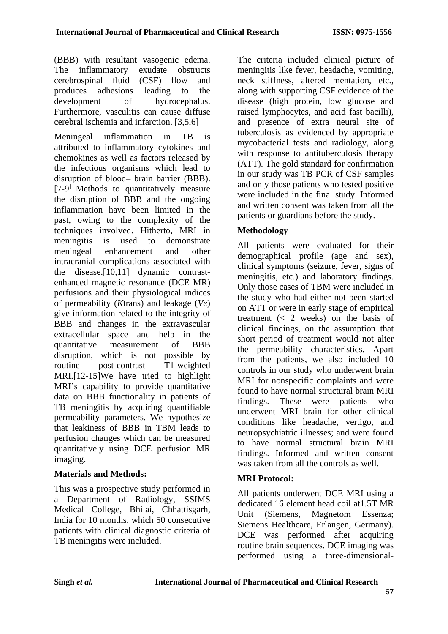(BBB) with resultant vasogenic edema. The inflammatory exudate obstructs cerebrospinal fluid (CSF) flow and produces adhesions leading to the development of hydrocephalus. Furthermore, vasculitis can cause diffuse cerebral ischemia and infarction. [3,5,6]

Meningeal inflammation in TB is attributed to inflammatory cytokines and chemokines as well as factors released by the infectious organisms which lead to disruption of blood– brain barrier (BBB).  $[7-9]$  Methods to quantitatively measure the disruption of BBB and the ongoing inflammation have been limited in the past, owing to the complexity of the techniques involved. Hitherto, MRI in meningitis is used to demonstrate meningeal enhancement and other intracranial complications associated with the disease.[10,11] dynamic contrastenhanced magnetic resonance (DCE MR) perfusions and their physiological indices of permeability (*K*trans) and leakage (*Ve*) give information related to the integrity of BBB and changes in the extravascular extracellular space and help in the quantitative measurement of BBB disruption, which is not possible by routine post-contrast T1-weighted MRI.[12-15]We have tried to highlight MRI's capability to provide quantitative data on BBB functionality in patients of TB meningitis by acquiring quantifiable permeability parameters. We hypothesize that leakiness of BBB in TBM leads to perfusion changes which can be measured quantitatively using DCE perfusion MR imaging.

## **Materials and Methods:**

This was a prospective study performed in a Department of Radiology, SSIMS Medical College, Bhilai, Chhattisgarh, India for 10 months. which 50 consecutive patients with clinical diagnostic criteria of TB meningitis were included.

The criteria included clinical picture of meningitis like fever, headache, vomiting, neck stiffness, altered mentation, etc., along with supporting CSF evidence of the disease (high protein, low glucose and raised lymphocytes, and acid fast bacilli), and presence of extra neural site of tuberculosis as evidenced by appropriate mycobacterial tests and radiology, along with response to antituberculosis therapy (ATT). The gold standard for confirmation in our study was TB PCR of CSF samples and only those patients who tested positive were included in the final study. Informed and written consent was taken from all the patients or guardians before the study.

# **Methodology**

All patients were evaluated for their demographical profile (age and sex), clinical symptoms (seizure, fever, signs of meningitis, etc.) and laboratory findings. Only those cases of TBM were included in the study who had either not been started on ATT or were in early stage of empirical treatment  $(< 2$  weeks) on the basis of clinical findings, on the assumption that short period of treatment would not alter the permeability characteristics. Apart from the patients, we also included 10 controls in our study who underwent brain MRI for nonspecific complaints and were found to have normal structural brain MRI findings. These were patients who underwent MRI brain for other clinical conditions like headache, vertigo, and neuropsychiatric illnesses; and were found to have normal structural brain MRI findings. Informed and written consent was taken from all the controls as well.

## **MRI Protocol:**

All patients underwent DCE MRI using a dedicated 16 element head coil at1.5T MR Unit (Siemens, Magnetom Essenza; Siemens Healthcare, Erlangen, Germany). DCE was performed after acquiring routine brain sequences. DCE imaging was performed using a three-dimensional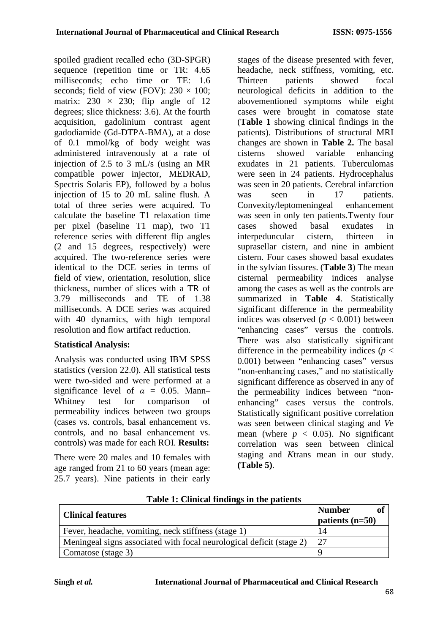spoiled gradient recalled echo (3D-SPGR) sequence (repetition time or TR: 4.65 milliseconds; echo time or TE: 1.6 seconds; field of view (FOV):  $230 \times 100$ ; matrix:  $230 \times 230$ ; flip angle of 12 degrees; slice thickness: 3.6). At the fourth acquisition, gadolinium contrast agent gadodiamide (Gd-DTPA-BMA), at a dose of 0.1 mmol/kg of body weight was administered intravenously at a rate of injection of 2.5 to 3 mL/s (using an MR compatible power injector, MEDRAD, Spectris Solaris EP), followed by a bolus injection of 15 to 20 mL saline flush. A total of three series were acquired. To calculate the baseline T1 relaxation time per pixel (baseline T1 map), two T1 reference series with different flip angles (2 and 15 degrees, respectively) were acquired. The two-reference series were identical to the DCE series in terms of field of view, orientation, resolution, slice thickness, number of slices with a TR of 3.79 milliseconds and TE of 1.38 milliseconds. A DCE series was acquired with 40 dynamics, with high temporal resolution and flow artifact reduction.

#### **Statistical Analysis:**

Analysis was conducted using IBM SPSS statistics (version 22.0). All statistical tests were two-sided and were performed at a significance level of  $\alpha = 0.05$ . Mann– Whitney test for comparison of permeability indices between two groups (cases vs. controls, basal enhancement vs. controls, and no basal enhancement vs. controls) was made for each ROI. **Results:** 

There were 20 males and 10 females with age ranged from 21 to 60 years (mean age: 25.7 years). Nine patients in their early

stages of the disease presented with fever, headache, neck stiffness, vomiting, etc. Thirteen patients showed focal neurological deficits in addition to the abovementioned symptoms while eight cases were brought in comatose state (**Table 1** showing clinical findings in the patients). Distributions of structural MRI changes are shown in **Table 2.** The basal cisterns showed variable enhancing exudates in 21 patients. Tuberculomas were seen in 24 patients. Hydrocephalus was seen in 20 patients. Cerebral infarction was seen in 17 patients. Convexity/leptomeningeal enhancement was seen in only ten patients.Twenty four cases showed basal exudates in interpeduncular cistern, thirteen in suprasellar cistern, and nine in ambient cistern. Four cases showed basal exudates in the sylvian fissures. (**Table 3**) The mean cisternal permeability indices analyse among the cases as well as the controls are summarized in **Table 4**. Statistically significant difference in the permeability indices was observed  $(p < 0.001)$  between "enhancing cases" versus the controls. There was also statistically significant difference in the permeability indices (*p* < 0.001) between "enhancing cases" versus "non-enhancing cases," and no statistically significant difference as observed in any of the permeability indices between "nonenhancing" cases versus the controls. Statistically significant positive correlation was seen between clinical staging and *V*e mean (where  $p < 0.05$ ). No significant correlation was seen between clinical staging and *K*trans mean in our study. **(Table 5)**.

| <b>Clinical features</b>                                             | <b>Number</b><br>of<br>patients $(n=50)$ |
|----------------------------------------------------------------------|------------------------------------------|
| Fever, headache, vomiting, neck stiffness (stage 1)                  | 14                                       |
| Meningeal signs associated with focal neurological deficit (stage 2) | 27                                       |
| Comatose (stage 3)                                                   |                                          |

**Table 1: Clinical findings in the patients**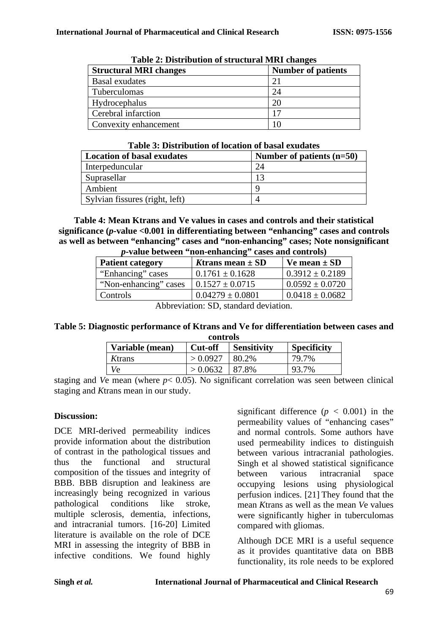| Table 2: Distribution of structural MRI changes |                           |  |  |
|-------------------------------------------------|---------------------------|--|--|
| <b>Structural MRI changes</b>                   | <b>Number of patients</b> |  |  |
| <b>Basal</b> exudates                           | 21                        |  |  |
| Tuberculomas                                    | 24                        |  |  |
| Hydrocephalus                                   | 20                        |  |  |
| Cerebral infarction                             | 17                        |  |  |
| Convexity enhancement                           | 10                        |  |  |

**Table 2: Distribution of structural MRI changes**

| Table 3: Distribution of location of basal exudates |  |  |  |
|-----------------------------------------------------|--|--|--|
|-----------------------------------------------------|--|--|--|

| <b>Location of basal exudates</b> | Number of patients $(n=50)$ |
|-----------------------------------|-----------------------------|
| Interpeduncular                   | 24                          |
| Suprasellar                       | 13                          |
| Ambient                           |                             |
| Sylvian fissures (right, left)    |                             |

**Table 4: Mean Ktrans and Ve values in cases and controls and their statistical significance (***p***-value <0.001 in differentiating between "enhancing" cases and controls as well as between "enhancing" cases and "non-enhancing" cases; Note nonsignificant**  *p***-value between "non-enhancing" cases and controls)**

| $p$ -value between $p$ hon-enhancing cases and controls) |                      |                     |  |
|----------------------------------------------------------|----------------------|---------------------|--|
| <b>Patient category</b>                                  | Ktrans mean $\pm$ SD | Ve mean $\pm$ SD    |  |
| "Enhancing" cases                                        | $0.1761 \pm 0.1628$  | $0.3912 \pm 0.2189$ |  |
| "Non-enhancing" cases                                    | $0.1527 \pm 0.0715$  | $0.0592 \pm 0.0720$ |  |
| Controls                                                 | $0.04279 \pm 0.0801$ | $0.0418 \pm 0.0682$ |  |
|                                                          |                      |                     |  |

Abbreviation: SD, standard deviation.

#### **Table 5: Diagnostic performance of Ktrans and Ve for differentiation between cases and controls**

| Variable (mean) | <b>Cut-off</b> | <b>Sensitivity</b> | <b>Specificity</b> |
|-----------------|----------------|--------------------|--------------------|
| Ktrans          | > 0.0927       | 80.2%              | 79.7%              |
| Vе              | > 0.0632       | l 87.8%            | 93.7%              |

staging and *Ve* mean (where  $p < 0.05$ ). No significant correlation was seen between clinical staging and *K*trans mean in our study.

## **Discussion:**

DCE MRI-derived permeability indices provide information about the distribution of contrast in the pathological tissues and thus the functional and structural composition of the tissues and integrity of BBB. BBB disruption and leakiness are increasingly being recognized in various pathological conditions like stroke, multiple sclerosis, dementia, infections, and intracranial tumors. [16-20] Limited literature is available on the role of DCE MRI in assessing the integrity of BBB in infective conditions. We found highly significant difference  $(p < 0.001)$  in the permeability values of "enhancing cases" and normal controls. Some authors have used permeability indices to distinguish between various intracranial pathologies. Singh et al showed statistical significance between various intracranial space occupying lesions using physiological perfusion indices. [21] They found that the mean *K*trans as well as the mean *V*e values were significantly higher in tuberculomas compared with gliomas.

Although DCE MRI is a useful sequence as it provides quantitative data on BBB functionality, its role needs to be explored

69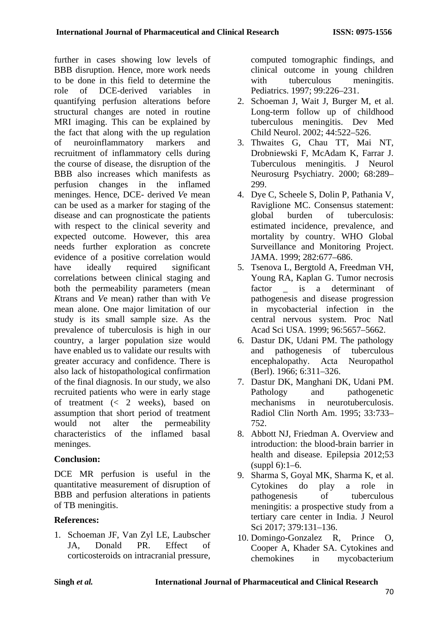further in cases showing low levels of BBB disruption. Hence, more work needs to be done in this field to determine the role of DCE-derived variables in quantifying perfusion alterations before structural changes are noted in routine MRI imaging. This can be explained by the fact that along with the up regulation of neuroinflammatory markers and recruitment of inflammatory cells during the course of disease, the disruption of the BBB also increases which manifests as perfusion changes in the inflamed meninges. Hence, DCE- derived *V*e mean can be used as a marker for staging of the disease and can prognosticate the patients with respect to the clinical severity and expected outcome. However, this area needs further exploration as concrete evidence of a positive correlation would have ideally required significant correlations between clinical staging and both the permeability parameters (mean *K*trans and *V*e mean) rather than with *V*e mean alone. One major limitation of our study is its small sample size. As the prevalence of tuberculosis is high in our country, a larger population size would have enabled us to validate our results with greater accuracy and confidence. There is also lack of histopathological confirmation of the final diagnosis. In our study, we also recruited patients who were in early stage of treatment (< 2 weeks), based on assumption that short period of treatment would not alter the permeability characteristics of the inflamed basal meninges.

## **Conclusion:**

DCE MR perfusion is useful in the quantitative measurement of disruption of BBB and perfusion alterations in patients of TB meningitis.

## **References:**

1. Schoeman JF, Van Zyl LE, Laubscher JA, Donald PR. Effect of corticosteroids on intracranial pressure, computed tomographic findings, and clinical outcome in young children with tuberculous meningitis. Pediatrics. 1997; 99:226–231.

- 2. Schoeman J, Wait J, Burger M, et al. Long-term follow up of childhood tuberculous meningitis. Dev Med Child Neurol. 2002; 44:522–526.
- 3. Thwaites G, Chau TT, Mai NT, Drobniewski F, McAdam K, Farrar J. Tuberculous meningitis. J Neurol Neurosurg Psychiatry. 2000; 68:289– 299.
- 4. Dye C, Scheele S, Dolin P, Pathania V, Raviglione MC. Consensus statement: global burden of tuberculosis: estimated incidence, prevalence, and mortality by country. WHO Global Surveillance and Monitoring Project. JAMA. 1999; 282:677–686.
- 5. Tsenova L, Bergtold A, Freedman VH, Young RA, Kaplan G. Tumor necrosis factor \_ is a determinant of pathogenesis and disease progression in mycobacterial infection in the central nervous system. Proc Natl Acad Sci USA. 1999; 96:5657–5662.
- 6. Dastur DK, Udani PM. The pathology and pathogenesis of tuberculous encephalopathy. Acta Neuropathol (Berl). 1966; 6:311–326.
- 7. Dastur DK, Manghani DK, Udani PM. Pathology and pathogenetic mechanisms in neurotuberculosis. Radiol Clin North Am. 1995; 33:733– 752.
- 8. Abbott NJ, Friedman A. Overview and introduction: the blood-brain barrier in health and disease. Epilepsia 2012;53 (suppl 6):1–6.
- 9. Sharma S, Goyal MK, Sharma K, et al. Cytokines do play a role in pathogenesis of tuberculous meningitis: a prospective study from a tertiary care center in India. J Neurol Sci 2017; 379:131–136.
- 10. Domingo-Gonzalez R, Prince O, Cooper A, Khader SA. Cytokines and chemokines in mycobacterium